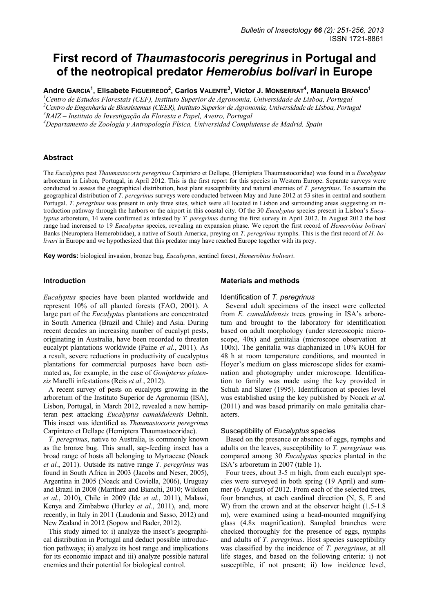# **First record of** *Thaumastocoris peregrinus* **in Portugal and of the neotropical predator** *Hemerobius bolivari* **in Europe**

**André GARCIA1 , Elisabete FIGUEIREDO<sup>2</sup> , Carlos VALENTE<sup>3</sup> , Victor J. MONSERRAT4 , Manuela BRANCO1**

<sup>1</sup> Centro de Estudos Florestais (CEF), Instituto Superior de Agronomia, Universidade de Lisboa, Portugal

<sup>2</sup> Centro de Engenharia de Biossistemas (CEER), Instituto Superior de Agronomia, Universidade de Lisboa, Portugal<br><sup>3</sup> P 417 - Instituto de Investigação da Elevesta e Papel, Aveiro, Portugal *RAIZ – Instituto de Investigação da Floresta e Papel, Aveiro, Portugal* 

*4 Departamento de Zoología y Antropología Física, Universidad Complutense de Madrid, Spain* 

### **Abstract**

The *Eucalyptus* pest *Thaumastocoris peregrinus* Carpintero et Dellape, (Hemiptera Thaumastocoridae) was found in a *Eucalyptus* arboretum in Lisbon, Portugal, in April 2012. This is the first report for this species in Western Europe. Separate surveys were conducted to assess the geographical distribution, host plant susceptibility and natural enemies of *T. peregrinus*. To ascertain the geographical distribution of *T. peregrinus* surveys were conducted between May and June 2012 at 53 sites in central and southern Portugal. *T. peregrinus* was present in only three sites, which were all located in Lisbon and surrounding areas suggesting an introduction pathway through the harbors or the airport in this coastal city. Of the 30 *Eucalyptus* species present in Lisbon's *Eucalyptus* arboretum, 14 were confirmed as infested by *T. peregrinus* during the first survey in April 2012. In August 2012 the host range had increased to 19 *Eucalyptus* species, revealing an expansion phase. We report the first record of *Hemerobius bolivari* Banks (Neuroptera Hemerobiidae), a native of South America, preying on *T. peregrinus* nymphs. This is the first record of *H. bolivari* in Europe and we hypothesized that this predator may have reached Europe together with its prey.

**Key words:** biological invasion, bronze bug, *Eucalyptus*, sentinel forest, *Hemerobius bolivari*.

### **Introduction**

*Eucalyptus* species have been planted worldwide and represent 10% of all planted forests (FAO, 2001). A large part of the *Eucalyptus* plantations are concentrated in South America (Brazil and Chile) and Asia. During recent decades an increasing number of eucalypt pests, originating in Australia, have been recorded to threaten eucalypt plantations worldwide (Paine *et al.*, 2011). As a result, severe reductions in productivity of eucalyptus plantations for commercial purposes have been estimated as, for example, in the case of *Gonipterus platensis* Marelli infestations (Reis *et al.*, 2012).

A recent survey of pests on eucalypts growing in the arboretum of the Instituto Superior de Agronomia (ISA), Lisbon, Portugal, in March 2012, revealed a new hemipteran pest attacking *Eucalyptus camaldulensis* Dehnh. This insect was identified as *Thaumastocoris peregrinus* Carpintero et Dellape (Hemiptera Thaumastocoridae).

*T. peregrinus*, native to Australia, is commonly known as the bronze bug. This small, sap-feeding insect has a broad range of hosts all belonging to Myrtaceae (Noack *et al.*, 2011). Outside its native range *T. peregrinus* was found in South Africa in 2003 (Jacobs and Neser, 2005), Argentina in 2005 (Noack and Coviella, 2006), Uruguay and Brazil in 2008 (Martínez and Bianchi, 2010; Wilcken *et al.*, 2010), Chile in 2009 (Ide *et al.*, 2011), Malawi, Kenya and Zimbabwe (Hurley *et al.*, 2011), and, more recently, in Italy in 2011 (Laudonia and Sasso, 2012) and New Zealand in 2012 (Sopow and Bader, 2012).

This study aimed to: i) analyze the insect's geographical distribution in Portugal and deduct possible introduction pathways; ii) analyze its host range and implications for its economic impact and iii) analyze possible natural enemies and their potential for biological control.

### **Materials and methods**

### Identification of *T. peregrinus*

Several adult specimens of the insect were collected from *E. camaldulensis* trees growing in ISA's arboretum and brought to the laboratory for identification based on adult morphology (under stereoscopic microscope, 40x) and genitalia (microscope observation at 100x). The genitalia was diaphanized in 10% KOH for 48 h at room temperature conditions, and mounted in Hoyer's medium on glass microscope slides for examination and photography under microscope. Identification to family was made using the key provided in Schuh and Slater (1995). Identification at species level was established using the key published by Noack *et al.* (2011) and was based primarily on male genitalia characters.

### Susceptibility of *Eucalyptus* species

Based on the presence or absence of eggs, nymphs and adults on the leaves, susceptibility to *T. peregrinus* was compared among 30 *Eucalyptus* species planted in the ISA's arboretum in 2007 (table 1).

Four trees, about 3-5 m high, from each eucalypt species were surveyed in both spring (19 April) and summer (6 August) of 2012. From each of the selected trees, four branches, at each cardinal direction (N, S, E and W) from the crown and at the observer height (1.5-1.8 m), were examined using a head-mounted magnifying glass (4.8x magnification). Sampled branches were checked thoroughly for the presence of eggs, nymphs and adults of *T. peregrinus*. Host species susceptibility was classified by the incidence of *T. peregrinus*, at all life stages, and based on the following criteria: i) not susceptible, if not present; ii) low incidence level,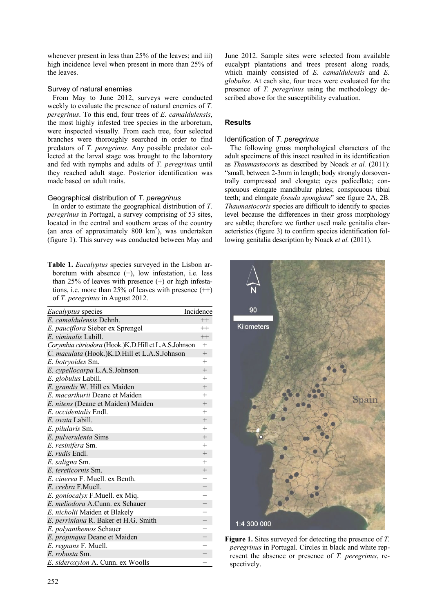whenever present in less than 25% of the leaves; and iii) high incidence level when present in more than 25% of the leaves.

# Survey of natural enemies

From May to June 2012, surveys were conducted weekly to evaluate the presence of natural enemies of *T. peregrinus*. To this end, four trees of *E. camaldulensis*, the most highly infested tree species in the arboretum, were inspected visually. From each tree, four selected branches were thoroughly searched in order to find predators of *T. peregrinus.* Any possible predator collected at the larval stage was brought to the laboratory and fed with nymphs and adults of *T. peregrinus* until they reached adult stage. Posterior identification was made based on adult traits.

# Geographical distribution of *T. peregrinus*

In order to estimate the geographical distribution of *T. peregrinus* in Portugal, a survey comprising of 53 sites, located in the central and southern areas of the country (an area of approximately  $800 \text{ km}^2$ ), was undertaken (figure 1). This survey was conducted between May and

**Table 1.** *Eucalyptus* species surveyed in the Lisbon arboretum with absence (−), low infestation, i.e. less than 25% of leaves with presence  $(+)$  or high infestations, i.e. more than 25% of leaves with presence  $(++)$ of *T. peregrinus* in August 2012.

| <i>Eucalyptus</i> species                            | Incidence                |
|------------------------------------------------------|--------------------------|
| E. camaldulensis Dehnh.                              | $++$                     |
| E. pauciflora Sieber ex Sprengel                     | $^{++}$                  |
| $E$ . viminalis Labill.                              | $++$                     |
| Corymbia citriodora (Hook.)K.D.Hill et L.A.S.Johnson | $^{+}$                   |
| C. maculata (Hook.)K.D.Hill et L.A.S.Johnson         | $^{+}$                   |
| E. botryoides Sm.                                    | $+$                      |
| E. cypellocarpa L.A.S.Johnson                        | $+$                      |
| E. globulus Labill.                                  | $^{+}$                   |
| E. grandis W. Hill ex Maiden                         | $^{+}$                   |
| E. <i>macarthurii</i> Deane et Maiden                | $^{+}$                   |
| E. nitens (Deane et Maiden) Maiden                   | $+$                      |
| E. occidentalis Endl.                                | $^{+}$                   |
| E. ovata Labill.                                     | $^{+}$                   |
| E. pilularis Sm.                                     | $^{+}$                   |
| E. pulverulenta Sims                                 | $^{+}$                   |
| E. resinifera Sm.                                    | $+$                      |
| E. rudis Endl.                                       | $+$                      |
| E. saligna Sm.                                       | $+$                      |
| E. tereticornis Sm.                                  | $^{+}$                   |
| E. cinerea F. Muell. ex Benth.                       | $\overline{\phantom{0}}$ |
| E. crebra F.Muell.                                   | $\overline{\phantom{0}}$ |
| E. goniocalyx F.Muell. ex Miq.                       | $\overline{a}$           |
| E. meliodora A.Cunn. ex Schauer                      |                          |
| E. nicholii Maiden et Blakely                        |                          |
| E. perriniana R. Baker et H.G. Smith                 |                          |
| E. polyanthemos Schauer                              |                          |
| E. propinqua Deane et Maiden                         |                          |
| E. regnans F. Muell.                                 |                          |
| E. robusta Sm.                                       |                          |
| E. sideroxylon A. Cunn. ex Woolls                    |                          |

June 2012. Sample sites were selected from available eucalypt plantations and trees present along roads, which mainly consisted of *E. camaldulensis* and *E. globulus*. At each site, four trees were evaluated for the presence of *T. peregrinus* using the methodology described above for the susceptibility evaluation.

# **Results**

# Identification of *T. peregrinus*

The following gross morphological characters of the adult specimens of this insect resulted in its identification as *Thaumastocoris* as described by Noack *et al.* (2011): "small, between 2-3mm in length; body strongly dorsoventrally compressed and elongate; eyes pedicellate; conspicuous elongate mandibular plates; conspicuous tibial teeth; and elongate *fossula spongiosa*" see figure 2A, 2B. *Thaumastocoris* species are difficult to identify to species level because the differences in their gross morphology are subtle; therefore we further used male genitalia characteristics (figure 3) to confirm species identification following genitalia description by Noack *et al.* (2011).



**Figure 1.** Sites surveyed for detecting the presence of *T. peregrinus* in Portugal. Circles in black and white represent the absence or presence of *T. peregrinus*, respectively.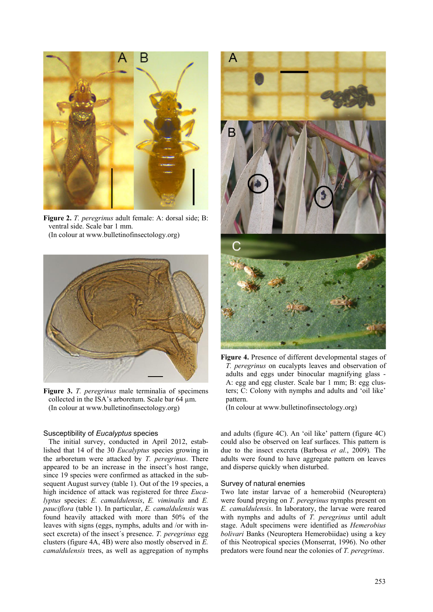

**Figure 2.** *T. peregrinus* adult female: A: dorsal side; B: ventral side. Scale bar 1 mm. (In colour at www.bulletinofinsectology.org)



**Figure 3.** *T. peregrinus* male terminalia of specimens collected in the ISA's arboretum. Scale bar 64 µm. (In colour at www.bulletinofinsectology.org)

### Susceptibility of *Eucalyptus* species

The initial survey, conducted in April 2012, established that 14 of the 30 *Eucalyptus* species growing in the arboretum were attacked by *T. peregrinus*. There appeared to be an increase in the insect's host range, since 19 species were confirmed as attacked in the subsequent August survey (table 1). Out of the 19 species, a high incidence of attack was registered for three *Eucalyptus* species: *E. camaldulensis*, *E. viminalis* and *E. pauciflora* (table 1). In particular, *E. camaldulensis* was found heavily attacked with more than 50% of the leaves with signs (eggs, nymphs, adults and /or with insect excreta) of the insect´s presence. *T. peregrinus* egg clusters (figure 4A, 4B) were also mostly observed in *E. camaldulensis* trees, as well as aggregation of nymphs



**Figure 4.** Presence of different developmental stages of *T. peregrinus* on eucalypts leaves and observation of adults and eggs under binocular magnifying glass - A: egg and egg cluster. Scale bar 1 mm; B: egg clusters; C: Colony with nymphs and adults and 'oil like' pattern.

(In colour at www.bulletinofinsectology.org)

and adults (figure 4C). An 'oil like' pattern (figure 4C) could also be observed on leaf surfaces. This pattern is due to the insect excreta (Barbosa *et al.*, 2009)*.* The adults were found to have aggregate pattern on leaves and disperse quickly when disturbed.

### Survey of natural enemies

Two late instar larvae of a hemerobiid (Neuroptera) were found preying on *T. peregrinus* nymphs present on *E. camaldulensis*. In laboratory, the larvae were reared with nymphs and adults of *T. peregrinus* until adult stage. Adult specimens were identified as *Hemerobius bolivari* Banks (Neuroptera Hemerobiidae) using a key of this Neotropical species (Monserrat, 1996). No other predators were found near the colonies of *T. peregrinus*.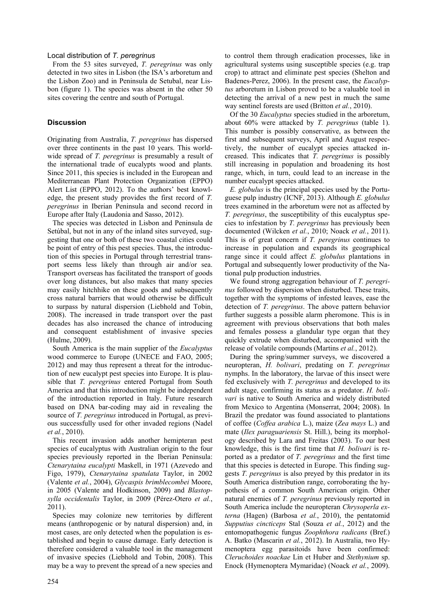### Local distribution of *T. peregrinus*

From the 53 sites surveyed, *T. peregrinus* was only detected in two sites in Lisbon (the ISA's arboretum and the Lisbon Zoo) and in Peninsula de Setubal, near Lisbon (figure 1). The species was absent in the other 50 sites covering the centre and south of Portugal.

# **Discussion**

Originating from Australia, *T. peregrinus* has dispersed over three continents in the past 10 years. This worldwide spread of *T. peregrinus* is presumably a result of the international trade of eucalypts wood and plants. Since 2011, this species is included in the European and Mediterranean Plant Protection Organization (EPPO) Alert List (EPPO, 2012). To the authors' best knowledge, the present study provides the first record of *T. peregrinus* in Iberian Peninsula and second record in Europe after Italy (Laudonia and Sasso, 2012).

The species was detected in Lisbon and Peninsula de Setúbal, but not in any of the inland sites surveyed, suggesting that one or both of these two coastal cities could be point of entry of this pest species. Thus, the introduction of this species in Portugal through terrestrial transport seems less likely than through air and/or sea. Transport overseas has facilitated the transport of goods over long distances, but also makes that many species may easily hitchhike on these goods and subsequently cross natural barriers that would otherwise be difficult to surpass by natural dispersion (Liebhold and Tobin, 2008). The increased in trade transport over the past decades has also increased the chance of introducing and consequent establishment of invasive species (Hulme, 2009).

South America is the main supplier of the *Eucalyptus* wood commerce to Europe (UNECE and FAO, 2005; 2012) and may thus represent a threat for the introduction of new eucalypt pest species into Europe. It is plausible that *T. peregrinus* entered Portugal from South America and that this introduction might be independent of the introduction reported in Italy. Future research based on DNA bar-coding may aid in revealing the source of *T. peregrinus* introduced in Portugal, as previous successfully used for other invaded regions (Nadel *et al.*, 2010).

This recent invasion adds another hemipteran pest species of eucalyptus with Australian origin to the four species previously reported in the Iberian Peninsula: *Ctenarytaina eucalypti* Maskell, in 1971 (Azevedo and Figo, 1979), *Ctenarytaina spatulata* Taylor, in 2002 (Valente *et al.*, 2004), *Glycaspis brimblecombei* Moore, in 2005 (Valente and Hodkinson, 2009) and *Blastopsylla occidentalis* Taylor, in 2009 (Pérez-Otero *et al.*, 2011).

Species may colonize new territories by different means (anthropogenic or by natural dispersion) and, in most cases, are only detected when the population is established and begin to cause damage. Early detection is therefore considered a valuable tool in the management of invasive species (Liebhold and Tobin, 2008). This may be a way to prevent the spread of a new species and to control them through eradication processes, like in agricultural systems using susceptible species (e.g. trap crop) to attract and eliminate pest species (Shelton and Badenes-Perez, 2006). In the present case, the *Eucalyptus* arboretum in Lisbon proved to be a valuable tool in detecting the arrival of a new pest in much the same way sentinel forests are used (Britton *et al.*, 2010).

Of the 30 *Eucalyptus* species studied in the arboretum, about 60% were attacked by *T. peregrinus* (table 1). This number is possibly conservative, as between the first and subsequent surveys, April and August respectively, the number of eucalypt species attacked increased. This indicates that *T. peregrinus* is possibly still increasing in population and broadening its host range, which, in turn, could lead to an increase in the number eucalypt species attacked.

*E. globulus* is the principal species used by the Portuguese pulp industry (ICNF, 2013). Although *E. globulus* trees examined in the arboretum were not as affected by *T. peregrinus*, the susceptibility of this eucalyptus species to infestation by *T. peregrinus* has previously been documented (Wilcken *et al.*, 2010; Noack *et al.*, 2011). This is of great concern if *T. peregrinus* continues to increase in population and expands its geographical range since it could affect *E. globulus* plantations in Portugal and subsequently lower productivity of the National pulp production industries.

We found strong aggregation behaviour of *T. peregrinus* followed by dispersion when disturbed. These traits, together with the symptoms of infested leaves, ease the detection of *T. peregrinus*. The above pattern behavior further suggests a possible alarm pheromone. This is in agreement with previous observations that both males and females possess a glandular type organ that they quickly extrude when disturbed, accompanied with the release of volatile compounds (Martins *et al.*, 2012).

During the spring/summer surveys, we discovered a neuropteran, *H. bolivari*, predating on *T. peregrinus* nymphs. In the laboratory, the larvae of this insect were fed exclusively with *T. peregrinus* and developed to its adult stage, confirming its status as a predator. *H. bolivari* is native to South America and widely distributed from Mexico to Argentina (Monserrat, 2004; 2008). In Brazil the predator was found associated to plantations of coffee (*Coffea arabica* L.), maize (*Zea mays* L.) and mate (*Ilex paraguariensis* St. Hill.), being its morphology described by Lara and Freitas (2003). To our best knowledge, this is the first time that *H. bolivari* is reported as a predator of *T. peregrinus* and the first time that this species is detected in Europe. This finding suggests *T. peregrinus* is also preyed by this predator in its South America distribution range, corroborating the hypothesis of a common South American origin. Other natural enemies of *T. peregrinus* previously reported in South America include the neuropteran *Chrysoperla externa* (Hagen) (Barbosa *et al.*, 2010), the pentatomid *Supputius cincticeps* Stal (Souza *et al.*, 2012) and the entomopathogenic fungus *Zoophthora radicans* (Bref.) A. Batko (Mascarin *et al.*, 2012). In Australia, two Hymenoptera egg parasitoids have been confirmed: *Cleruchoides noackae* Lin et Huber and *Stethynium* sp. Enock (Hymenoptera Mymaridae) (Noack *et al.*, 2009).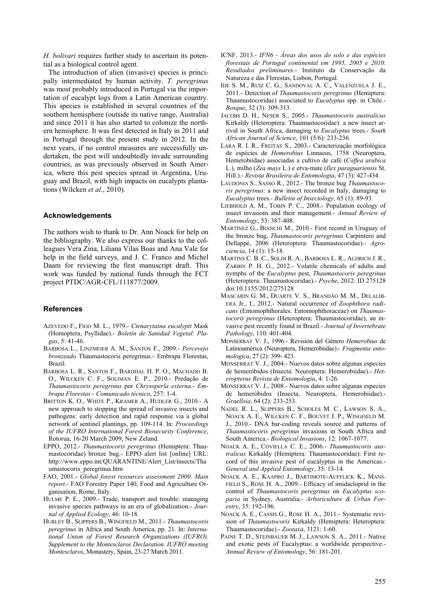*H. bolivari* requires further study to ascertain its potential as a biological control agent.

The introduction of alien (invasive) species is principally intermediated by human activity. *T. peregrinus* was most probably introduced in Portugal via the importation of eucalypt logs from a Latin American country. This species is established in several countries of the southern hemisphere (outside its native range, Australia) and since 2011 it has also started to colonize the northern hemisphere. It was first detected in Italy in 2011 and in Portugal through the present study in 2012. In the next years, if no control measures are successfully undertaken, the pest will undoubtedly invade surrounding countries, as was previously observed in South America, where this pest species spread in Argentina, Uruguay and Brazil, with high impacts on eucalypts plantations (Wilcken *et al.*, 2010).

### **Acknowledgements**

The authors wish to thank to Dr. Ann Noack for help on the bibliography. We also express our thanks to the colleagues Vera Zina, Liliana Vilas Boas and Ana Vale for help in the field surveys, and J. C. Franco and Michel Daam for reviewing the first manuscript draft. This work was funded by national funds through the FCT project PTDC/AGR-CFL/111877/2009.

### **References**

- AZEVEDO F., FIGO M. L., 1979.- *Ctenarytaina eucalypti* Mask (Homoptera, Psyllidae).- *Boletin de Sanidad Vegetal. Plagas*, 5: 41-46.
- BARBOSA L., LINZMEIER A. M., SANTOS F., 2009.- *Percevejo bronzeado* Thaumastocoris peregrinus.- Embrapa Florestas, Brazil.
- BARBOSA L. R., SANTOS F., BARDDAL H. P. O., MACHADO B. O., WILCKEN C. F., SOLIMAN E. P., 2010.- Predação de *Thaumastocoris peregrinus* por *Chrysoperla externa*.- *Embrapa Florestas - Comunicado técnico*, 257: 1-4.
- BRITTON K. O., WHITE P., KRAMER A., HUDLER G., 2010.- A new approach to stopping the spread of invasive insects and pathogens: early detection and rapid response via a global network of sentinel plantings, pp. 109-114. In: *Proceedings of the IUFRO International Forest Biosecurity Conference*, Rotorua, 16-20 March 2009, New Zeland.
- EPPO, 2012.- *Thaumastocoris peregrinus* (Hemiptera: Thaumastocoridae) bronze bug.- EPPO alert list [online] URL: http://www.eppo.int/QUARANTINE/Alert\_List/insects/Tha umastocoris\_peregrinus.htm
- FAO, 2001.- *Global forest resources assessment 2000. Main report*.- FAO Forestry Paper 140, Food and Agriculture Organisation, Rome, Italy.
- HULME P. E., 2009.- Trade, transport and trouble: managing invasive species pathways in an era of globalization.- *Journal of Applied Ecology*, 46: 10-18.
- HURLEY B., SLIPPERS B., WINGFIELD M., 2011.- *Thaumastocoris peregrinus* in Africa and South America, pp. 21. In: *International Union of Forest Research Organizations (IUFRO)*. *Supplement to the Montesclaros Declaration. IUFRO meeting Montesclaros*, Monastery, Spain, 23-27 March 2011.
- ICNF, 2013.- *IFN6 Áreas dos usos do solo e das espécies florestais de Portugal continental em 1995, 2005 e 2010. Resultados preliminares*.- Instituto da Conservação da Natureza e das Florestas, Lisbon, Portugal.
- IDE S. M., RUIZ C. G., SANDOVAL A. C., VALENZUELA J. E., 2011.- Detection of *Thaumastocoris peregrinus* (Hemiptera: Thaumastocoridae) associated to *Eucalyptus* spp. in Chile.- *Bosque*, 32 (3): 309-313.
- JACOBS D. H., NESER S., 2005.- *Thaumastocoris australicus* Kirkaldy (Heteroptera: Thaumastocoridae): a new insect arrival in South Africa, damaging to *Eucalyptus* trees.- *South African Journal of Science*, 101 (5/6): 233-236.
- LARA R. I. R., FREITAS S., 2003.- Caracterização morfológica de espécies de *Hemerobius* Linnaeus, 1758 (Neuroptera, Hemerobiidae) associadas a cultivo de café (*Coffea arabica* L.), milho (*Zea mays* L.) e erva-mate (*Ilex paraguariensis* St. Hill.).- *Revista Brasileira de Entomologia*, 47 (3): 427-434.
- LAUDONIA S., SASSO R., 2012.- The bronze bug *Thaumastocoris peregrinus*: a new insect recorded in Italy, damaging to *Eucalyptus* trees.- *Bulletin of Insectology*, 65 (1): 89-93.
- LIEBHOLD A. M., TOBIN P. C., 2008.- Population ecology of insect invasions and their management.- *Annual Review of Entomology*, 53: 387-408.
- MARTÍNEZ G., BIANCHI M., 2010.- First record in Uruguay of the bronze bug, *Thaumastocoris peregrinus* Carpintero and Dellappé, 2006 (Heteroptera: Thaumastocoridae).- *Agrociencia*, 14 (1): 15-18.
- MARTINS C. B. C., SOLDI R. A., BARBOSA L. R., ALDRICH J. R., ZARBIN P. H. G., 2012.- Volatile chemicals of adults and nymphs of the *Eucalyptus* pest, *Thaumastocoris peregrinus* (Heteroptera: Thaumastocoridae).- *Psyche*, 2012: ID 275128 doi:10.1155/2012/275128
- MASCARIN G. M., DUARTE V. S., BRANDÃO M. M., DELALIB-ERA Jr., I., 2012.- Natural occurrence of *Zoophthora radicans* (Entomophthorales: Entomophthoraceae) on *Thaumastocoris peregrinus* (Heteroptera: Thaumastocoridae), an invasive pest recently found in Brazil.- *Journal of Invertebrate Pathology*, 110: 401-404.
- MONSERRAT V. J., 1996.- Revisión del Género *Hemerobius* de Latinoamérica (Neuroptera, Hemerobiidae).- *Fragmenta entomologica*, 27 (2): 399- 423.
- MONSERRAT V. J., 2004.- Nuevos datos sobre algunas especies de hemeróbidos (Insecta: Neuroptera: Hemerobiidae).- *Heteropterus Revista de Entomologia*, 4: 1-26.
- MONSERRAT V. J., 2008.- Nuevos datos sobre algunas especies de hemeróbidos (Insecta, Neuroptera, Hemerobiidae).- *Graellsia*, 64 (2): 233-253.
- NADEL R. L., SLIPPERS B., SCHOLES M. C., LAWSON S. A., NOACK A. E., WILCKEN C. F., BOUVET J. P., WINGFIELD M. J., 2010.- DNA bar-coding reveals source and patterns of *Thaumastocoris peregrinus* invasions in South Africa and South America.- *Biological Invasions*, 12: 1067-1077.
- NOACK A. E., COVIELLA C. E., 2006.- *Thaumastocoris australicus* Kirkaldy (Hemiptera: Thaumastocoridae): First record of this invasive pest of eucalyptus in the Americas.- *General and Applied Entomology*, 35: 13-14.
- NOACK A. E., KAAPRO J., BARTIMOTE-AUFFLICK K., MANS-FIELD S., ROSE H. A., 2009.- Efficacy of imidacloprid in the control of *Thaumastocoris peregrinus* on *Eucalyptus scoparia* in Sydney, Australia.- *Arboriculture & Urban Forestry*, 35: 192-196.
- NOACK A. E., CASSIS G., ROSE H. A., 2011.- Systematic revision of *Thaumastocoris* Kirkaldy (Hemiptera: Heteroptera: Thaumastocoridae).- *Zootaxa*, 3121: 1-60.
- PAINE T. D., STEINBAUER M. J., LAWSON S. A., 2011.- Native and exotic pests of Eucalyptus: a worldwide perspective.- *Annual Review of Entomology*, 56: 181-201.